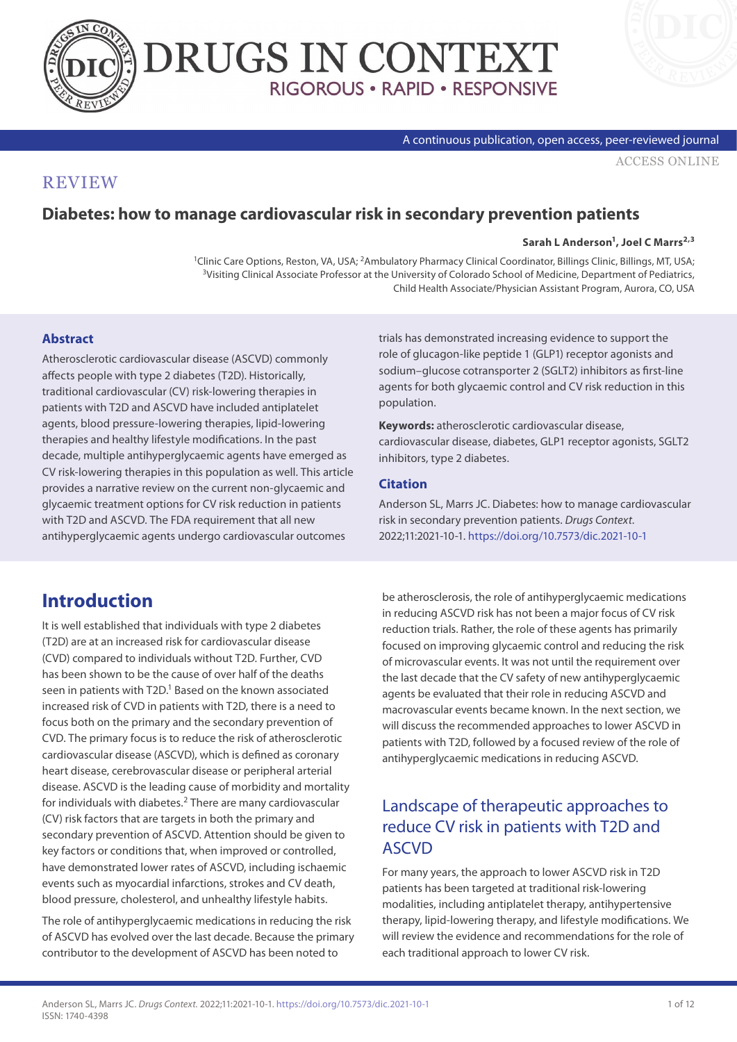



### A continuous publication, open access, peer-reviewed journal

[ACCESS ONLINE](https://www.drugsincontext.com/diabetes-how-to-manage-cardiovascular-risk-in-secondary-prevention-patients)

## **REVIEW**

## **Diabetes: how to manage cardiovascular risk in secondary prevention patients**

#### Sarah L Anderson<sup>1</sup>, Joel C Marrs<sup>2,3</sup>

<sup>1</sup>Clinic Care Options, Reston, VA, USA; <sup>2</sup>Ambulatory Pharmacy Clinical Coordinator, Billings Clinic, Billings, MT, USA;<br><sup>3</sup>Visiting Clinical Associate Professor at the University of Colorado School of Medicine, Departmen Child Health Associate/Physician Assistant Program, Aurora, CO, USA

## **Abstract**

Atherosclerotic cardiovascular disease (ASCVD) commonly affects people with type 2 diabetes (T2D). Historically, traditional cardiovascular (CV) risk-lowering therapies in patients with T2D and ASCVD have included antiplatelet agents, blood pressure-lowering therapies, lipid-lowering therapies and healthy lifestyle modifications. In the past decade, multiple antihyperglycaemic agents have emerged as CV risk-lowering therapies in this population as well. This article provides a narrative review on the current non-glycaemic and glycaemic treatment options for CV risk reduction in patients with T2D and ASCVD. The FDA requirement that all new antihyperglycaemic agents undergo cardiovascular outcomes

trials has demonstrated increasing evidence to support the role of glucagon-like peptide 1 (GLP1) receptor agonists and sodium–glucose cotransporter 2 (SGLT2) inhibitors as first-line agents for both glycaemic control and CV risk reduction in this population.

**Keywords:** atherosclerotic cardiovascular disease, cardiovascular disease, diabetes, GLP1 receptor agonists, SGLT2 inhibitors, type 2 diabetes.

## **Citation**

Anderson SL, Marrs JC. Diabetes: how to manage cardiovascular risk in secondary prevention patients. *Drugs Context*. 2022;11:2021-10-1.<https://doi.org/10.7573/dic.2021-10-1>

# **Introduction**

It is well established that individuals with type 2 diabetes (T2D) are at an increased risk for cardiovascular disease (CVD) compared to individuals without T2D. Further, CVD has been shown to be the cause of over half of the deaths seen in patients with T2D.<sup>1</sup> Based on the known associated increased risk of CVD in patients with T2D, there is a need to focus both on the primary and the secondary prevention of CVD. The primary focus is to reduce the risk of atherosclerotic cardiovascular disease (ASCVD), which is defined as coronary heart disease, cerebrovascular disease or peripheral arterial disease. ASCVD is the leading cause of morbidity and mortality for individuals with diabetes.<sup>2</sup> There are many cardiovascular (CV) risk factors that are targets in both the primary and secondary prevention of ASCVD. Attention should be given to key factors or conditions that, when improved or controlled, have demonstrated lower rates of ASCVD, including ischaemic events such as myocardial infarctions, strokes and CV death, blood pressure, cholesterol, and unhealthy lifestyle habits.

The role of antihyperglycaemic medications in reducing the risk of ASCVD has evolved over the last decade. Because the primary contributor to the development of ASCVD has been noted to

be atherosclerosis, the role of antihyperglycaemic medications in reducing ASCVD risk has not been a major focus of CV risk reduction trials. Rather, the role of these agents has primarily focused on improving glycaemic control and reducing the risk of microvascular events. It was not until the requirement over the last decade that the CV safety of new antihyperglycaemic agents be evaluated that their role in reducing ASCVD and macrovascular events became known. In the next section, we will discuss the recommended approaches to lower ASCVD in patients with T2D, followed by a focused review of the role of antihyperglycaemic medications in reducing ASCVD.

## Landscape of therapeutic approaches to reduce CV risk in patients with T2D and **ASCVD**

For many years, the approach to lower ASCVD risk in T2D patients has been targeted at traditional risk-lowering modalities, including antiplatelet therapy, antihypertensive therapy, lipid-lowering therapy, and lifestyle modifications. We will review the evidence and recommendations for the role of each traditional approach to lower CV risk.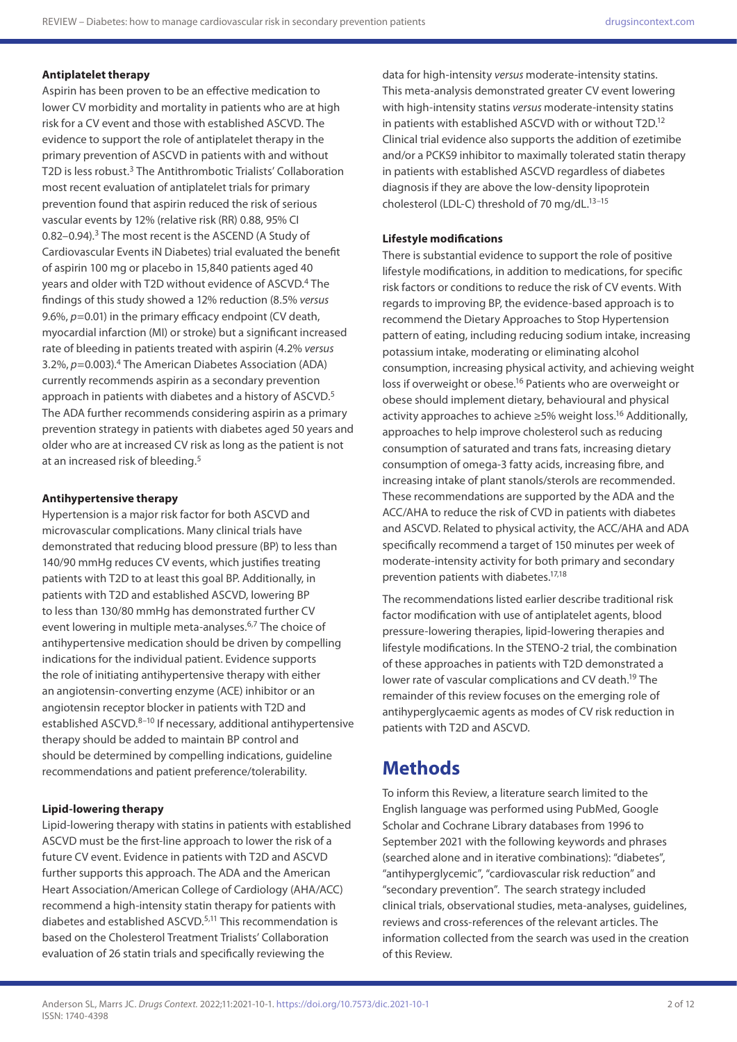## **Antiplatelet therapy**

Aspirin has been proven to be an effective medication to lower CV morbidity and mortality in patients who are at high risk for a CV event and those with established ASCVD. The evidence to support the role of antiplatelet therapy in the primary prevention of ASCVD in patients with and without T2D is less robust.3 The Antithrombotic Trialists' Collaboration most recent evaluation of antiplatelet trials for primary prevention found that aspirin reduced the risk of serious vascular events by 12% (relative risk (RR) 0.88, 95% CI 0.82-0.94).<sup>3</sup> The most recent is the ASCEND (A Study of Cardiovascular Events iN Diabetes) trial evaluated the benefit of aspirin 100 mg or placebo in 15,840 patients aged 40 years and older with T2D without evidence of ASCVD.<sup>4</sup> The findings of this study showed a 12% reduction (8.5% *versus*  9.6%,  $p=0.01$ ) in the primary efficacy endpoint (CV death, myocardial infarction (MI) or stroke) but a significant increased rate of bleeding in patients treated with aspirin (4.2% *versus*  3.2%, *p*=0.003).4 The American Diabetes Association (ADA) currently recommends aspirin as a secondary prevention approach in patients with diabetes and a history of ASCVD.<sup>5</sup> The ADA further recommends considering aspirin as a primary prevention strategy in patients with diabetes aged 50 years and older who are at increased CV risk as long as the patient is not at an increased risk of bleeding.<sup>5</sup>

### **Antihypertensive therapy**

Hypertension is a major risk factor for both ASCVD and microvascular complications. Many clinical trials have demonstrated that reducing blood pressure (BP) to less than 140/90 mmHg reduces CV events, which justifies treating patients with T2D to at least this goal BP. Additionally, in patients with T2D and established ASCVD, lowering BP to less than 130/80 mmHg has demonstrated further CV event lowering in multiple meta-analyses.<sup>6,7</sup> The choice of antihypertensive medication should be driven by compelling indications for the individual patient. Evidence supports the role of initiating antihypertensive therapy with either an angiotensin-converting enzyme (ACE) inhibitor or an angiotensin receptor blocker in patients with T2D and established ASCVD.<sup>8-10</sup> If necessary, additional antihypertensive therapy should be added to maintain BP control and should be determined by compelling indications, guideline recommendations and patient preference/tolerability.

#### **Lipid-lowering therapy**

Lipid-lowering therapy with statins in patients with established ASCVD must be the first-line approach to lower the risk of a future CV event. Evidence in patients with T2D and ASCVD further supports this approach. The ADA and the American Heart Association/American College of Cardiology (AHA/ACC) recommend a high-intensity statin therapy for patients with diabetes and established ASCVD.5,11 This recommendation is based on the Cholesterol Treatment Trialists' Collaboration evaluation of 26 statin trials and specifically reviewing the

data for high-intensity *versus* moderate-intensity statins. This meta-analysis demonstrated greater CV event lowering with high-intensity statins *versus* moderate-intensity statins in patients with established ASCVD with or without T2D.12 Clinical trial evidence also supports the addition of ezetimibe and/or a PCKS9 inhibitor to maximally tolerated statin therapy in patients with established ASCVD regardless of diabetes diagnosis if they are above the low-density lipoprotein cholesterol (LDL-C) threshold of 70 mg/dL.<sup>13-15</sup>

### **Lifestyle modifications**

There is substantial evidence to support the role of positive lifestyle modifications, in addition to medications, for specific risk factors or conditions to reduce the risk of CV events. With regards to improving BP, the evidence-based approach is to recommend the Dietary Approaches to Stop Hypertension pattern of eating, including reducing sodium intake, increasing potassium intake, moderating or eliminating alcohol consumption, increasing physical activity, and achieving weight loss if overweight or obese.<sup>16</sup> Patients who are overweight or obese should implement dietary, behavioural and physical activity approaches to achieve ≥5% weight loss.16 Additionally, approaches to help improve cholesterol such as reducing consumption of saturated and trans fats, increasing dietary consumption of omega-3 fatty acids, increasing fibre, and increasing intake of plant stanols/sterols are recommended. These recommendations are supported by the ADA and the ACC/AHA to reduce the risk of CVD in patients with diabetes and ASCVD. Related to physical activity, the ACC/AHA and ADA specifically recommend a target of 150 minutes per week of moderate-intensity activity for both primary and secondary prevention patients with diabetes.17,18

The recommendations listed earlier describe traditional risk factor modification with use of antiplatelet agents, blood pressure-lowering therapies, lipid-lowering therapies and lifestyle modifications. In the STENO-2 trial, the combination of these approaches in patients with T2D demonstrated a lower rate of vascular complications and CV death.<sup>19</sup> The remainder of this review focuses on the emerging role of antihyperglycaemic agents as modes of CV risk reduction in patients with T2D and ASCVD.

## **Methods**

To inform this Review, a literature search limited to the English language was performed using PubMed, Google Scholar and Cochrane Library databases from 1996 to September 2021 with the following keywords and phrases (searched alone and in iterative combinations): "diabetes", "antihyperglycemic", "cardiovascular risk reduction" and "secondary prevention". The search strategy included clinical trials, observational studies, meta-analyses, guidelines, reviews and cross-references of the relevant articles. The information collected from the search was used in the creation of this Review.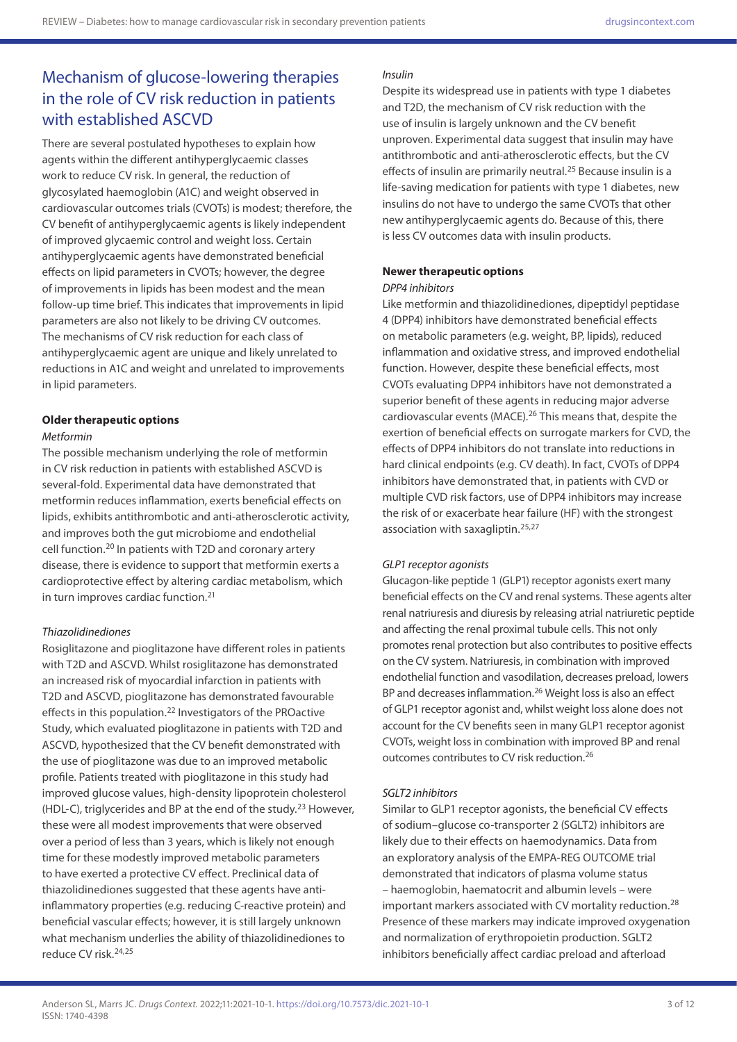# Mechanism of glucose-lowering therapies in the role of CV risk reduction in patients with established ASCVD

There are several postulated hypotheses to explain how agents within the different antihyperglycaemic classes work to reduce CV risk. In general, the reduction of glycosylated haemoglobin (A1C) and weight observed in cardiovascular outcomes trials (CVOTs) is modest; therefore, the CV benefit of antihyperglycaemic agents is likely independent of improved glycaemic control and weight loss. Certain antihyperglycaemic agents have demonstrated beneficial effects on lipid parameters in CVOTs; however, the degree of improvements in lipids has been modest and the mean follow-up time brief. This indicates that improvements in lipid parameters are also not likely to be driving CV outcomes. The mechanisms of CV risk reduction for each class of antihyperglycaemic agent are unique and likely unrelated to reductions in A1C and weight and unrelated to improvements in lipid parameters.

## **Older therapeutic options**

### *Metformin*

The possible mechanism underlying the role of metformin in CV risk reduction in patients with established ASCVD is several-fold. Experimental data have demonstrated that metformin reduces inflammation, exerts beneficial effects on lipids, exhibits antithrombotic and anti-atherosclerotic activity, and improves both the gut microbiome and endothelial cell function.20 In patients with T2D and coronary artery disease, there is evidence to support that metformin exerts a cardioprotective effect by altering cardiac metabolism, which in turn improves cardiac function.<sup>21</sup>

### *Thiazolidinediones*

Rosiglitazone and pioglitazone have different roles in patients with T2D and ASCVD. Whilst rosiglitazone has demonstrated an increased risk of myocardial infarction in patients with T2D and ASCVD, pioglitazone has demonstrated favourable effects in this population.22 Investigators of the PROactive Study, which evaluated pioglitazone in patients with T2D and ASCVD, hypothesized that the CV benefit demonstrated with the use of pioglitazone was due to an improved metabolic profile. Patients treated with pioglitazone in this study had improved glucose values, high-density lipoprotein cholesterol (HDL-C), triglycerides and BP at the end of the study.23 However, these were all modest improvements that were observed over a period of less than 3 years, which is likely not enough time for these modestly improved metabolic parameters to have exerted a protective CV effect. Preclinical data of thiazolidinediones suggested that these agents have antiinflammatory properties (e.g. reducing C-reactive protein) and beneficial vascular effects; however, it is still largely unknown what mechanism underlies the ability of thiazolidinediones to reduce CV risk.24,25

## *Insulin*

Despite its widespread use in patients with type 1 diabetes and T2D, the mechanism of CV risk reduction with the use of insulin is largely unknown and the CV benefit unproven. Experimental data suggest that insulin may have antithrombotic and anti-atherosclerotic effects, but the CV effects of insulin are primarily neutral.<sup>25</sup> Because insulin is a life-saving medication for patients with type 1 diabetes, new insulins do not have to undergo the same CVOTs that other new antihyperglycaemic agents do. Because of this, there is less CV outcomes data with insulin products.

### **Newer therapeutic options**

### *DPP4 inhibitors*

Like metformin and thiazolidinediones, dipeptidyl peptidase 4 (DPP4) inhibitors have demonstrated beneficial effects on metabolic parameters (e.g. weight, BP, lipids), reduced inflammation and oxidative stress, and improved endothelial function. However, despite these beneficial effects, most CVOTs evaluating DPP4 inhibitors have not demonstrated a superior benefit of these agents in reducing major adverse cardiovascular events (MACE).26 This means that, despite the exertion of beneficial effects on surrogate markers for CVD, the effects of DPP4 inhibitors do not translate into reductions in hard clinical endpoints (e.g. CV death). In fact, CVOTs of DPP4 inhibitors have demonstrated that, in patients with CVD or multiple CVD risk factors, use of DPP4 inhibitors may increase the risk of or exacerbate hear failure (HF) with the strongest association with saxagliptin.25,27

### *GLP1 receptor agonists*

Glucagon-like peptide 1 (GLP1) receptor agonists exert many beneficial effects on the CV and renal systems. These agents alter renal natriuresis and diuresis by releasing atrial natriuretic peptide and affecting the renal proximal tubule cells. This not only promotes renal protection but also contributes to positive effects on the CV system. Natriuresis, in combination with improved endothelial function and vasodilation, decreases preload, lowers BP and decreases inflammation.<sup>26</sup> Weight loss is also an effect of GLP1 receptor agonist and, whilst weight loss alone does not account for the CV benefits seen in many GLP1 receptor agonist CVOTs, weight loss in combination with improved BP and renal outcomes contributes to CV risk reduction.26

### *SGLT2 inhibitors*

Similar to GLP1 receptor agonists, the beneficial CV effects of sodium–glucose co-transporter 2 (SGLT2) inhibitors are likely due to their effects on haemodynamics. Data from an exploratory analysis of the EMPA-REG OUTCOME trial demonstrated that indicators of plasma volume status – haemoglobin, haematocrit and albumin levels – were important markers associated with CV mortality reduction.28 Presence of these markers may indicate improved oxygenation and normalization of erythropoietin production. SGLT2 inhibitors beneficially affect cardiac preload and afterload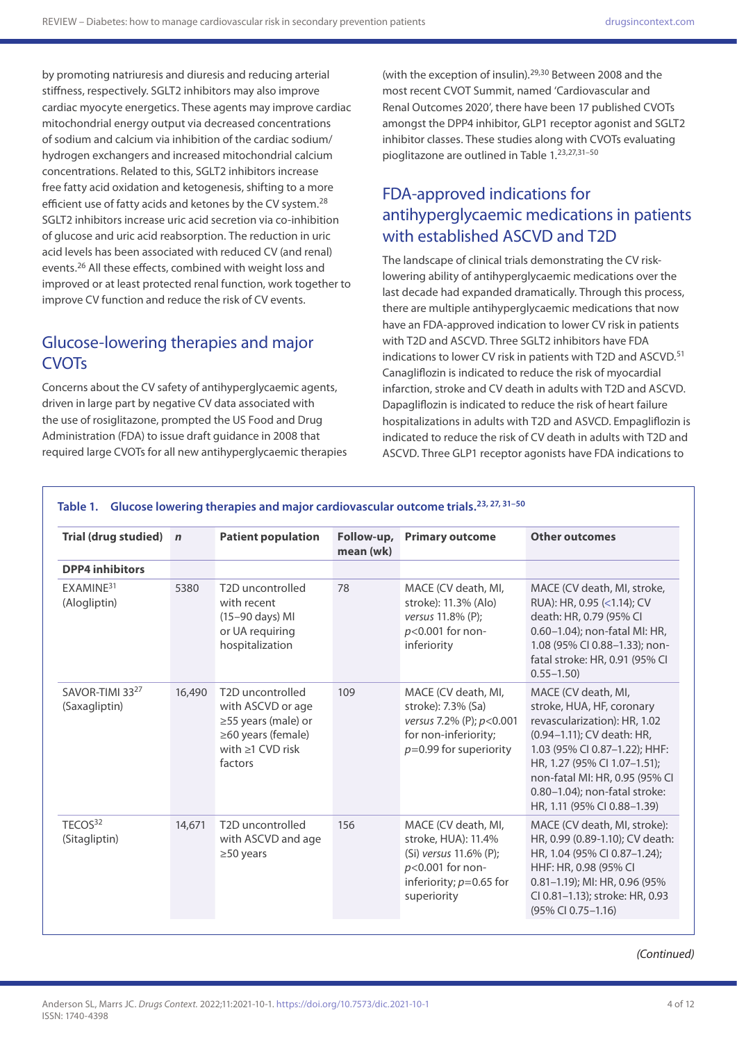by promoting natriuresis and diuresis and reducing arterial stiffness, respectively. SGLT2 inhibitors may also improve cardiac myocyte energetics. These agents may improve cardiac mitochondrial energy output via decreased concentrations of sodium and calcium via inhibition of the cardiac sodium/ hydrogen exchangers and increased mitochondrial calcium concentrations. Related to this, SGLT2 inhibitors increase free fatty acid oxidation and ketogenesis, shifting to a more efficient use of fatty acids and ketones by the CV system.<sup>28</sup> SGLT2 inhibitors increase uric acid secretion via co-inhibition of glucose and uric acid reabsorption. The reduction in uric acid levels has been associated with reduced CV (and renal) events.26 All these effects, combined with weight loss and improved or at least protected renal function, work together to improve CV function and reduce the risk of CV events.

## Glucose-lowering therapies and major **CVOT<sub>s</sub>**

Concerns about the CV safety of antihyperglycaemic agents, driven in large part by negative CV data associated with the use of rosiglitazone, prompted the US Food and Drug Administration (FDA) to issue draft guidance in 2008 that required large CVOTs for all new antihyperglycaemic therapies (with the exception of insulin).<sup>29,30</sup> Between 2008 and the most recent CVOT Summit, named 'Cardiovascular and Renal Outcomes 2020', there have been 17 published CVOTs amongst the DPP4 inhibitor, GLP1 receptor agonist and SGLT2 inhibitor classes. These studies along with CVOTs evaluating pioglitazone are outlined in Table 1.23,27,31–50

## FDA-approved indications for antihyperglycaemic medications in patients with established ASCVD and T2D

The landscape of clinical trials demonstrating the CV risklowering ability of antihyperglycaemic medications over the last decade had expanded dramatically. Through this process, there are multiple antihyperglycaemic medications that now have an FDA-approved indication to lower CV risk in patients with T2D and ASCVD. Three SGLT2 inhibitors have FDA indications to lower CV risk in patients with T2D and ASCVD.<sup>51</sup> Canagliflozin is indicated to reduce the risk of myocardial infarction, stroke and CV death in adults with T2D and ASCVD. Dapagliflozin is indicated to reduce the risk of heart failure hospitalizations in adults with T2D and ASVCD. Empagliflozin is indicated to reduce the risk of CV death in adults with T2D and ASCVD. Three GLP1 receptor agonists have FDA indications to

| <b>Trial (drug studied)</b>           | $\mathbf n$ | <b>Patient population</b>                                                                                                            | Follow-up,<br>mean (wk) | <b>Primary outcome</b>                                                                                                                 | <b>Other outcomes</b>                                                                                                                                                                                                                                                             |
|---------------------------------------|-------------|--------------------------------------------------------------------------------------------------------------------------------------|-------------------------|----------------------------------------------------------------------------------------------------------------------------------------|-----------------------------------------------------------------------------------------------------------------------------------------------------------------------------------------------------------------------------------------------------------------------------------|
| <b>DPP4</b> inhibitors                |             |                                                                                                                                      |                         |                                                                                                                                        |                                                                                                                                                                                                                                                                                   |
| FXAMINF <sup>31</sup><br>(Alogliptin) | 5380        | T <sub>2</sub> D uncontrolled<br>with recent<br>(15-90 days) MI<br>or UA requiring<br>hospitalization                                | 78                      | MACE (CV death, MI,<br>stroke): 11.3% (Alo)<br>versus 11.8% (P):<br>p<0.001 for non-<br>inferiority                                    | MACE (CV death, MI, stroke,<br>RUA): HR, 0.95 (<1.14); CV<br>death: HR, 0.79 (95% CI<br>0.60-1.04); non-fatal MI: HR,<br>1.08 (95% CI 0.88-1.33); non-<br>fatal stroke: HR, 0.91 (95% CI<br>$0.55 - 1.50$                                                                         |
| SAVOR-TIMI 3327<br>(Saxagliptin)      | 16,490      | T <sub>2</sub> D uncontrolled<br>with ASCVD or age<br>≥55 years (male) or<br>≥60 years (female)<br>with $\geq 1$ CVD risk<br>factors | 109                     | MACE (CV death, MI,<br>stroke): 7.3% (Sa)<br>versus 7.2% (P); p<0.001<br>for non-inferiority;<br>$p=0.99$ for superiority              | MACE (CV death, MI,<br>stroke, HUA, HF, coronary<br>revascularization): HR, 1.02<br>(0.94–1.11); CV death: HR,<br>1.03 (95% CI 0.87-1.22); HHF:<br>HR, 1.27 (95% CI 1.07-1.51);<br>non-fatal MI: HR, 0.95 (95% CI<br>0.80-1.04): non-fatal stroke:<br>HR, 1.11 (95% CI 0.88-1.39) |
| TECOS <sup>32</sup><br>(Sitagliptin)  | 14,671      | T <sub>2</sub> D uncontrolled<br>with ASCVD and age<br>$\geq$ 50 years                                                               | 156                     | MACE (CV death, MI,<br>stroke, HUA): 11.4%<br>(Si) versus 11.6% (P);<br>$p<0.001$ for non-<br>inferiority; $p=0.65$ for<br>superiority | MACE (CV death, MI, stroke):<br>HR, 0.99 (0.89-1.10); CV death:<br>HR, 1.04 (95% CI 0.87-1.24);<br>HHF: HR, 0.98 (95% CI<br>$0.81 - 1.19$ ; MI: HR, 0.96 (95%)<br>CI 0.81-1.13); stroke: HR, 0.93<br>(95% CI 0.75-1.16)                                                           |

## Table 1. Glucose lowering therapies and major cardiovascular outcome trials.<sup>23, 27, 31-50</sup>

*(Continued)*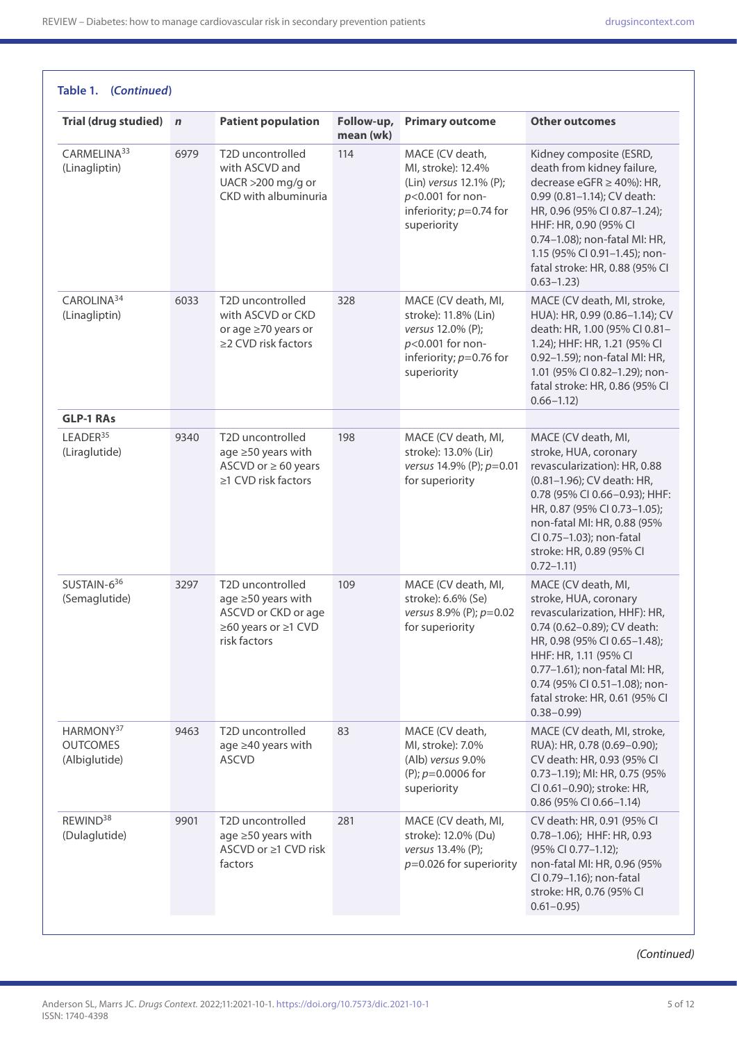| Trial (drug studied) n                                    |      | <b>Patient population</b>                                                                            | Follow-up,<br>mean (wk) | <b>Primary outcome</b>                                                                                                           | <b>Other outcomes</b>                                                                                                                                                                                                                                                                                |
|-----------------------------------------------------------|------|------------------------------------------------------------------------------------------------------|-------------------------|----------------------------------------------------------------------------------------------------------------------------------|------------------------------------------------------------------------------------------------------------------------------------------------------------------------------------------------------------------------------------------------------------------------------------------------------|
| CARMELINA <sup>33</sup><br>(Linagliptin)                  | 6979 | T2D uncontrolled<br>with ASCVD and<br>UACR >200 mg/g or<br>CKD with albuminuria                      | 114                     | MACE (CV death,<br>MI, stroke): 12.4%<br>(Lin) versus 12.1% (P);<br>p<0.001 for non-<br>inferiority; $p=0.74$ for<br>superiority | Kidney composite (ESRD,<br>death from kidney failure,<br>decrease eGFR $\geq$ 40%): HR,<br>0.99 (0.81-1.14); CV death:<br>HR, 0.96 (95% CI 0.87-1.24);<br>HHF: HR, 0.90 (95% CI<br>0.74-1.08); non-fatal MI: HR,<br>1.15 (95% CI 0.91-1.45); non-<br>fatal stroke: HR, 0.88 (95% CI<br>$0.63 - 1.23$ |
| CAROLINA <sup>34</sup><br>(Linagliptin)                   | 6033 | T2D uncontrolled<br>with ASCVD or CKD<br>or age ≥70 years or<br>≥2 CVD risk factors                  | 328                     | MACE (CV death, MI,<br>stroke): 11.8% (Lin)<br>versus 12.0% (P);<br>p<0.001 for non-<br>inferiority; $p=0.76$ for<br>superiority | MACE (CV death, MI, stroke,<br>HUA): HR, 0.99 (0.86-1.14); CV<br>death: HR, 1.00 (95% CI 0.81-<br>1.24); HHF: HR, 1.21 (95% CI<br>0.92-1.59); non-fatal MI: HR,<br>1.01 (95% CI 0.82-1.29); non-<br>fatal stroke: HR, 0.86 (95% CI<br>$0.66 - 1.12$                                                  |
| <b>GLP-1 RAs</b>                                          |      |                                                                                                      |                         |                                                                                                                                  |                                                                                                                                                                                                                                                                                                      |
| LEADER <sup>35</sup><br>(Liraglutide)                     | 9340 | T2D uncontrolled<br>age ≥50 years with<br>ASCVD or $\geq 60$ years<br>≥1 CVD risk factors            | 198                     | MACE (CV death, MI,<br>stroke): 13.0% (Lir)<br>versus 14.9% (P); p=0.01<br>for superiority                                       | MACE (CV death, MI,<br>stroke, HUA, coronary<br>revascularization): HR, 0.88<br>(0.81-1.96); CV death: HR,<br>0.78 (95% CI 0.66-0.93); HHF:<br>HR, 0.87 (95% CI 0.73-1.05);<br>non-fatal MI: HR, 0.88 (95%<br>CI 0.75-1.03); non-fatal<br>stroke: HR, 0.89 (95% CI<br>$0.72 - 1.11$                  |
| SUSTAIN-636<br>(Semaglutide)                              | 3297 | T2D uncontrolled<br>age ≥50 years with<br>ASCVD or CKD or age<br>≥60 years or ≥1 CVD<br>risk factors | 109                     | MACE (CV death, MI,<br>stroke): 6.6% (Se)<br>versus 8.9% (P); p=0.02<br>for superiority                                          | MACE (CV death, MI,<br>stroke, HUA, coronary<br>revascularization, HHF): HR,<br>0.74 (0.62-0.89); CV death:<br>HR, 0.98 (95% CI 0.65-1.48);<br>HHF: HR, 1.11 (95% CI<br>0.77-1.61); non-fatal MI: HR,<br>0.74 (95% CI 0.51-1.08); non-<br>fatal stroke: HR, 0.61 (95% CI<br>$0.38 - 0.99$            |
| HARMONY <sup>37</sup><br><b>OUTCOMES</b><br>(Albiglutide) | 9463 | T2D uncontrolled<br>age ≥40 years with<br><b>ASCVD</b>                                               | 83                      | MACE (CV death,<br>MI, stroke): 7.0%<br>(Alb) versus 9.0%<br>(P); $p=0.0006$ for<br>superiority                                  | MACE (CV death, MI, stroke,<br>RUA): HR, 0.78 (0.69-0.90);<br>CV death: HR, 0.93 (95% CI<br>0.73-1.19); MI: HR, 0.75 (95%<br>CI 0.61-0.90); stroke: HR,<br>0.86 (95% CI 0.66-1.14)                                                                                                                   |
| REWIND <sup>38</sup><br>(Dulaglutide)                     | 9901 | T2D uncontrolled<br>age ≥50 years with<br>ASCVD or ≥1 CVD risk<br>factors                            | 281                     | MACE (CV death, MI,<br>stroke): 12.0% (Du)<br>versus 13.4% (P);<br>$p=0.026$ for superiority                                     | CV death: HR, 0.91 (95% CI<br>0.78-1.06); HHF: HR, 0.93<br>(95% CI 0.77-1.12);<br>non-fatal MI: HR, 0.96 (95%<br>CI 0.79-1.16); non-fatal<br>stroke: HR, 0.76 (95% CI<br>$0.61 - 0.95$                                                                                                               |

*(Continued)*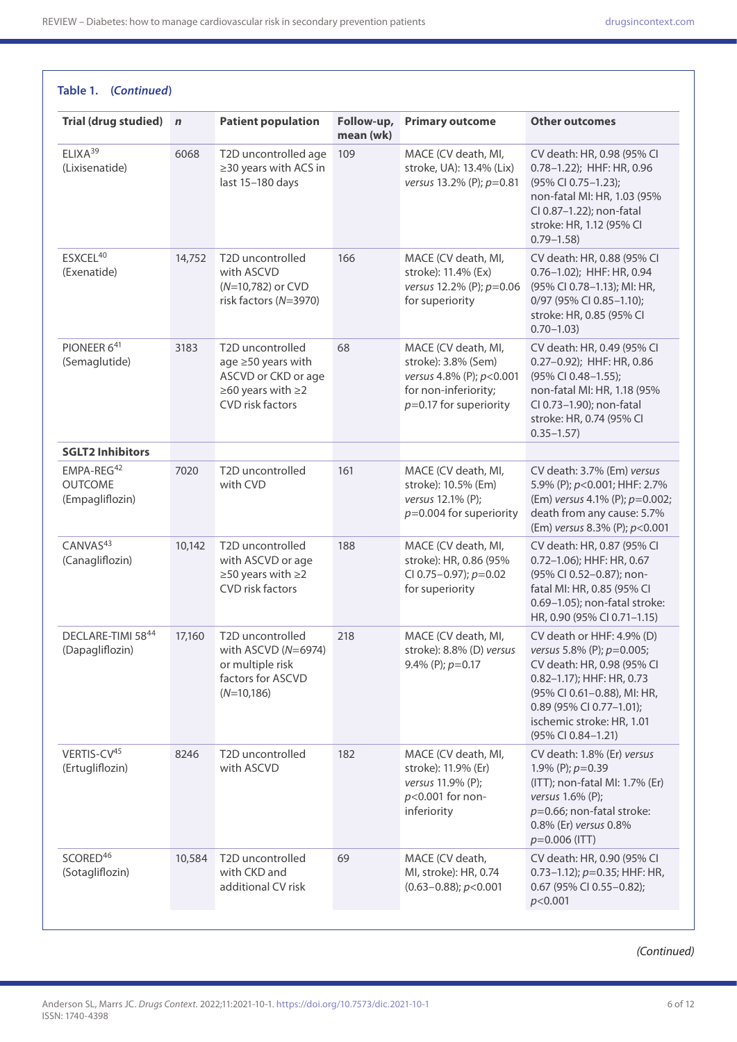| Trial (drug studied) n                                      |        | <b>Patient population</b>                                                                              | Follow-up,<br>mean (wk) | <b>Primary outcome</b>                                                                                                     | <b>Other outcomes</b>                                                                                                                                                                                                              |
|-------------------------------------------------------------|--------|--------------------------------------------------------------------------------------------------------|-------------------------|----------------------------------------------------------------------------------------------------------------------------|------------------------------------------------------------------------------------------------------------------------------------------------------------------------------------------------------------------------------------|
| ELIXA <sup>39</sup><br>(Lixisenatide)                       | 6068   | T2D uncontrolled age<br>≥30 years with ACS in<br>last 15-180 days                                      | 109                     | MACE (CV death, MI,<br>stroke, UA): 13.4% (Lix)<br>versus 13.2% (P); p=0.81                                                | CV death: HR, 0.98 (95% CI<br>0.78-1.22); HHF: HR, 0.96<br>(95% CI 0.75-1.23);<br>non-fatal MI: HR, 1.03 (95%<br>CI 0.87-1.22); non-fatal<br>stroke: HR, 1.12 (95% CI<br>$0.79 - 1.58$                                             |
| ESXCEL <sup>40</sup><br>(Exenatide)                         | 14,752 | T2D uncontrolled<br>with ASCVD<br>(N=10,782) or CVD<br>risk factors (N=3970)                           | 166                     | MACE (CV death, MI,<br>stroke): 11.4% (Ex)<br>versus 12.2% (P); p=0.06<br>for superiority                                  | CV death: HR, 0.88 (95% CI<br>0.76-1.02); HHF: HR, 0.94<br>(95% CI 0.78-1.13); MI: HR,<br>0/97 (95% CI 0.85-1.10);<br>stroke: HR, 0.85 (95% CI<br>$0.70 - 1.03$                                                                    |
| PIONEER 641<br>(Semaglutide)                                | 3183   | T2D uncontrolled<br>age ≥50 years with<br>ASCVD or CKD or age<br>≥60 years with ≥2<br>CVD risk factors | 68                      | MACE (CV death, MI,<br>stroke): 3.8% (Sem)<br>versus 4.8% (P); p<0.001<br>for non-inferiority;<br>$p=0.17$ for superiority | CV death: HR, 0.49 (95% CI<br>0.27-0.92); HHF: HR, 0.86<br>(95% CI 0.48-1.55);<br>non-fatal MI: HR, 1.18 (95%<br>CI 0.73-1.90); non-fatal<br>stroke: HR, 0.74 (95% CI<br>$0.35 - 1.57$                                             |
| <b>SGLT2 Inhibitors</b>                                     |        |                                                                                                        |                         |                                                                                                                            |                                                                                                                                                                                                                                    |
| EMPA-REG <sup>42</sup><br><b>OUTCOME</b><br>(Empagliflozin) | 7020   | T2D uncontrolled<br>with CVD                                                                           | 161                     | MACE (CV death, MI,<br>stroke): 10.5% (Em)<br>versus 12.1% (P);<br>$p=0.004$ for superiority                               | CV death: 3.7% (Em) versus<br>5.9% (P); p<0.001; HHF: 2.7%<br>(Em) versus 4.1% (P); p=0.002;<br>death from any cause: 5.7%<br>(Em) versus 8.3% (P); p<0.001                                                                        |
| CANVAS <sup>43</sup><br>(Canagliflozin)                     | 10,142 | T2D uncontrolled<br>with ASCVD or age<br>≥50 years with ≥2<br>CVD risk factors                         | 188                     | MACE (CV death, MI,<br>stroke): HR, 0.86 (95%<br>CI 0.75-0.97); $p=0.02$<br>for superiority                                | CV death: HR, 0.87 (95% CI<br>$0.72 - 1.06$ ; HHF: HR, 0.67<br>(95% CI 0.52-0.87); non-<br>fatal MI: HR, 0.85 (95% CI<br>0.69-1.05); non-fatal stroke:<br>HR, 0.90 (95% CI 0.71-1.15)                                              |
| DECLARE-TIMI 5844<br>(Dapagliflozin)                        | 17,160 | T2D uncontrolled<br>with ASCVD $(N=6974)$<br>or multiple risk<br>factors for ASCVD<br>$(N=10,186)$     | 218                     | MACE (CV death, MI,<br>stroke): 8.8% (D) versus<br>9.4% (P); $p=0.17$                                                      | CV death or HHF: 4.9% (D)<br>versus 5.8% (P); p=0.005;<br>CV death: HR, 0.98 (95% CI<br>0.82-1.17); HHF: HR, 0.73<br>(95% CI 0.61-0.88), MI: HR,<br>0.89 (95% CI 0.77-1.01);<br>ischemic stroke: HR, 1.01<br>$(95\%$ CI 0.84-1.21) |
| VERTIS-CV45<br>(Ertugliflozin)                              | 8246   | T2D uncontrolled<br>with ASCVD                                                                         | 182                     | MACE (CV death, MI,<br>stroke): 11.9% (Er)<br>versus 11.9% (P);<br>p<0.001 for non-<br>inferiority                         | CV death: 1.8% (Er) versus<br>1.9% (P); $p=0.39$<br>(ITT); non-fatal MI: 1.7% (Er)<br>versus $1.6\%$ (P);<br>$p=0.66$ ; non-fatal stroke:<br>0.8% (Er) versus 0.8%<br>$p=0.006$ (ITT)                                              |
| SCORED <sup>46</sup><br>(Sotagliflozin)                     | 10,584 | T2D uncontrolled<br>with CKD and<br>additional CV risk                                                 | 69                      | MACE (CV death,<br>MI, stroke): HR, 0.74<br>$(0.63 - 0.88); p < 0.001$                                                     | CV death: HR, 0.90 (95% CI<br>0.73-1.12); $p=0.35$ ; HHF: HR,<br>0.67 (95% CI 0.55-0.82);<br>p<0.001                                                                                                                               |

*(Continued)*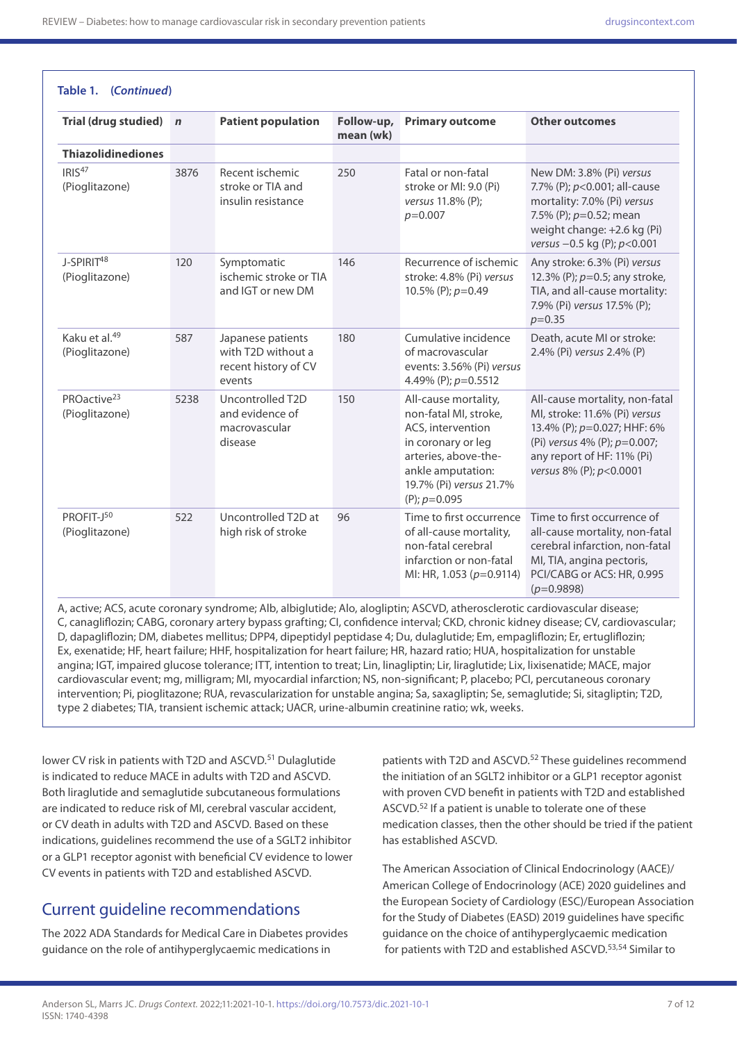**Table 1. (***Continued***)**

| Trial (drug studied) n                      |      | <b>Patient population</b>                                                 | Follow-up,<br>mean (wk) | <b>Primary outcome</b>                                                                                                                                                             | <b>Other outcomes</b>                                                                                                                                                                    |
|---------------------------------------------|------|---------------------------------------------------------------------------|-------------------------|------------------------------------------------------------------------------------------------------------------------------------------------------------------------------------|------------------------------------------------------------------------------------------------------------------------------------------------------------------------------------------|
| <b>Thiazolidinediones</b>                   |      |                                                                           |                         |                                                                                                                                                                                    |                                                                                                                                                                                          |
| IRIS <sup>47</sup><br>(Pioglitazone)        | 3876 | Recent ischemic<br>stroke or TIA and<br>insulin resistance                | 250                     | Fatal or non-fatal<br>stroke or MI: 9.0 (Pi)<br>versus 11.8% (P);<br>$p=0.007$                                                                                                     | New DM: 3.8% (Pi) versus<br>7.7% (P); $p<0.001$ ; all-cause<br>mortality: 7.0% (Pi) versus<br>7.5% (P); p=0.52; mean<br>weight change: +2.6 kg (Pi)<br>versus $-0.5$ kg (P); $p < 0.001$ |
| J-SPIRIT <sup>48</sup><br>(Pioglitazone)    | 120  | Symptomatic<br>ischemic stroke or TIA<br>and IGT or new DM                | 146                     | Recurrence of ischemic<br>stroke: 4.8% (Pi) versus<br>10.5% (P); $p=0.49$                                                                                                          | Any stroke: 6.3% (Pi) versus<br>12.3% (P); $p=0.5$ ; any stroke,<br>TIA, and all-cause mortality:<br>7.9% (Pi) versus 17.5% (P);<br>$p=0.35$                                             |
| Kaku et al. <sup>49</sup><br>(Pioglitazone) | 587  | Japanese patients<br>with T2D without a<br>recent history of CV<br>events | 180                     | Cumulative incidence<br>of macrovascular<br>events: 3.56% (Pi) versus<br>4.49% (P); p=0.5512                                                                                       | Death, acute MI or stroke:<br>2.4% (Pi) versus 2.4% (P)                                                                                                                                  |
| PROactive <sup>23</sup><br>(Pioglitazone)   | 5238 | Uncontrolled T2D<br>and evidence of<br>macrovascular<br>disease           | 150                     | All-cause mortality,<br>non-fatal MI, stroke,<br>ACS, intervention<br>in coronary or leg<br>arteries, above-the-<br>ankle amputation:<br>19.7% (Pi) versus 21.7%<br>(P); $p=0.095$ | All-cause mortality, non-fatal<br>MI, stroke: 11.6% (Pi) versus<br>13.4% (P); p=0.027; HHF: 6%<br>(Pi) versus 4% (P); p=0.007;<br>any report of HF: 11% (Pi)<br>versus 8% (P); p<0.0001  |
| PROFIT-J50<br>(Pioglitazone)                | 522  | Uncontrolled T2D at<br>high risk of stroke                                | 96                      | Time to first occurrence<br>of all-cause mortality,<br>non-fatal cerebral<br>infarction or non-fatal<br>MI: HR, 1.053 (p=0.9114)                                                   | Time to first occurrence of<br>all-cause mortality, non-fatal<br>cerebral infarction, non-fatal<br>MI, TIA, angina pectoris,<br>PCI/CABG or ACS: HR, 0.995<br>$(p=0.9898)$               |

A, active; ACS, acute coronary syndrome; Alb, albiglutide; Alo, alogliptin; ASCVD, atherosclerotic cardiovascular disease; C, canagliflozin; CABG, coronary artery bypass grafting; CI, confidence interval; CKD, chronic kidney disease; CV, cardiovascular; D, dapagliflozin; DM, diabetes mellitus; DPP4, dipeptidyl peptidase 4; Du, dulaglutide; Em, empagliflozin; Er, ertugliflozin; Ex, exenatide; HF, heart failure; HHF, hospitalization for heart failure; HR, hazard ratio; HUA, hospitalization for unstable angina; IGT, impaired glucose tolerance; ITT, intention to treat; Lin, linagliptin; Lir, liraglutide; Lix, lixisenatide; MACE, major cardiovascular event; mg, milligram; MI, myocardial infarction; NS, non-significant; P, placebo; PCI, percutaneous coronary intervention; Pi, pioglitazone; RUA, revascularization for unstable angina; Sa, saxagliptin; Se, semaglutide; Si, sitagliptin; T2D, type 2 diabetes; TIA, transient ischemic attack; UACR, urine-albumin creatinine ratio; wk, weeks.

lower CV risk in patients with T2D and ASCVD.<sup>51</sup> Dulaglutide is indicated to reduce MACE in adults with T2D and ASCVD. Both liraglutide and semaglutide subcutaneous formulations are indicated to reduce risk of MI, cerebral vascular accident, or CV death in adults with T2D and ASCVD. Based on these indications, guidelines recommend the use of a SGLT2 inhibitor or a GLP1 receptor agonist with beneficial CV evidence to lower CV events in patients with T2D and established ASCVD.

## Current guideline recommendations

The 2022 ADA Standards for Medical Care in Diabetes provides guidance on the role of antihyperglycaemic medications in

patients with T2D and ASCVD.<sup>52</sup> These guidelines recommend the initiation of an SGLT2 inhibitor or a GLP1 receptor agonist with proven CVD benefit in patients with T2D and established ASCVD.52 If a patient is unable to tolerate one of these medication classes, then the other should be tried if the patient has established ASCVD.

The American Association of Clinical Endocrinology (AACE)/ American College of Endocrinology (ACE) 2020 guidelines and the European Society of Cardiology (ESC)/European Association for the Study of Diabetes (EASD) 2019 guidelines have specific guidance on the choice of antihyperglycaemic medication for patients with T2D and established ASCVD.<sup>53,54</sup> Similar to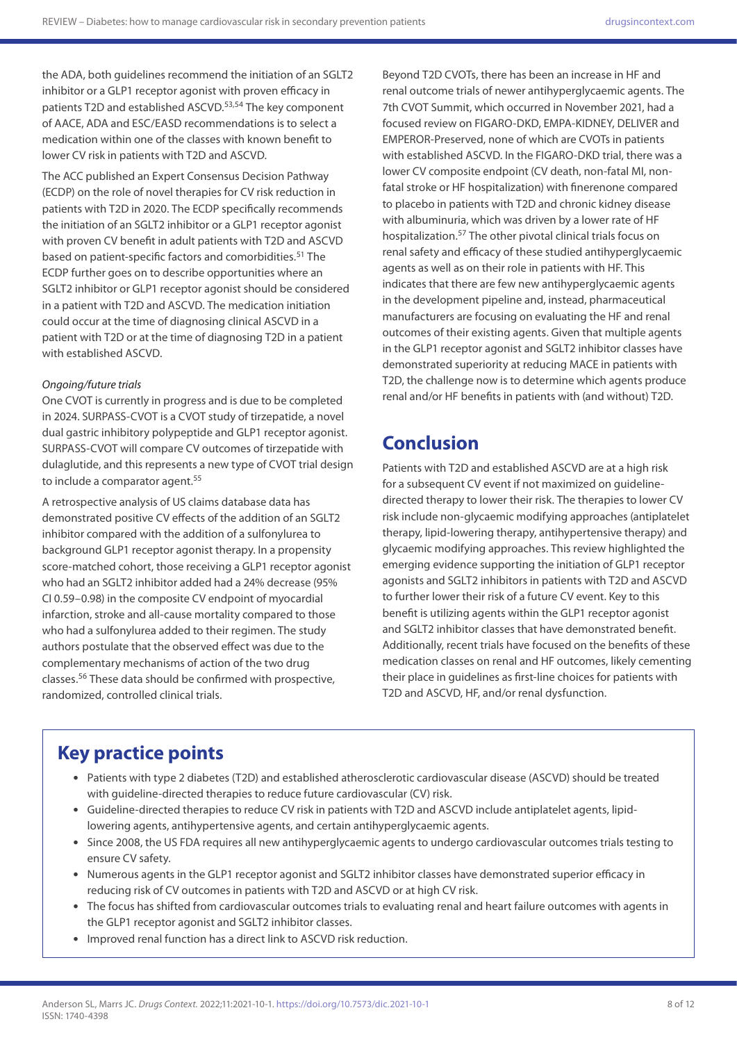the ADA, both guidelines recommend the initiation of an SGLT2 inhibitor or a GLP1 receptor agonist with proven efficacy in patients T2D and established ASCVD.<sup>53,54</sup> The key component of AACE, ADA and ESC/EASD recommendations is to select a medication within one of the classes with known benefit to lower CV risk in patients with T2D and ASCVD.

The ACC published an Expert Consensus Decision Pathway (ECDP) on the role of novel therapies for CV risk reduction in patients with T2D in 2020. The ECDP specifically recommends the initiation of an SGLT2 inhibitor or a GLP1 receptor agonist with proven CV benefit in adult patients with T2D and ASCVD based on patient-specific factors and comorbidities.<sup>51</sup> The ECDP further goes on to describe opportunities where an SGLT2 inhibitor or GLP1 receptor agonist should be considered in a patient with T2D and ASCVD. The medication initiation could occur at the time of diagnosing clinical ASCVD in a patient with T2D or at the time of diagnosing T2D in a patient with established ASCVD.

#### *Ongoing/future trials*

One CVOT is currently in progress and is due to be completed in 2024. SURPASS-CVOT is a CVOT study of tirzepatide, a novel dual gastric inhibitory polypeptide and GLP1 receptor agonist. SURPASS-CVOT will compare CV outcomes of tirzepatide with dulaglutide, and this represents a new type of CVOT trial design to include a comparator agent.<sup>55</sup>

A retrospective analysis of US claims database data has demonstrated positive CV effects of the addition of an SGLT2 inhibitor compared with the addition of a sulfonylurea to background GLP1 receptor agonist therapy. In a propensity score-matched cohort, those receiving a GLP1 receptor agonist who had an SGLT2 inhibitor added had a 24% decrease (95% CI 0.59–0.98) in the composite CV endpoint of myocardial infarction, stroke and all-cause mortality compared to those who had a sulfonylurea added to their regimen. The study authors postulate that the observed effect was due to the complementary mechanisms of action of the two drug classes.56 These data should be confirmed with prospective, randomized, controlled clinical trials.

Beyond T2D CVOTs, there has been an increase in HF and renal outcome trials of newer antihyperglycaemic agents. The 7th CVOT Summit, which occurred in November 2021, had a focused review on FIGARO-DKD, EMPA-KIDNEY, DELIVER and EMPEROR-Preserved, none of which are CVOTs in patients with established ASCVD. In the FIGARO-DKD trial, there was a lower CV composite endpoint (CV death, non-fatal MI, nonfatal stroke or HF hospitalization) with finerenone compared to placebo in patients with T2D and chronic kidney disease with albuminuria, which was driven by a lower rate of HF hospitalization.57 The other pivotal clinical trials focus on renal safety and efficacy of these studied antihyperglycaemic agents as well as on their role in patients with HF. This indicates that there are few new antihyperglycaemic agents in the development pipeline and, instead, pharmaceutical manufacturers are focusing on evaluating the HF and renal outcomes of their existing agents. Given that multiple agents in the GLP1 receptor agonist and SGLT2 inhibitor classes have demonstrated superiority at reducing MACE in patients with T2D, the challenge now is to determine which agents produce renal and/or HF benefits in patients with (and without) T2D.

# **Conclusion**

Patients with T2D and established ASCVD are at a high risk for a subsequent CV event if not maximized on guidelinedirected therapy to lower their risk. The therapies to lower CV risk include non-glycaemic modifying approaches (antiplatelet therapy, lipid-lowering therapy, antihypertensive therapy) and glycaemic modifying approaches. This review highlighted the emerging evidence supporting the initiation of GLP1 receptor agonists and SGLT2 inhibitors in patients with T2D and ASCVD to further lower their risk of a future CV event. Key to this benefit is utilizing agents within the GLP1 receptor agonist and SGLT2 inhibitor classes that have demonstrated benefit. Additionally, recent trials have focused on the benefits of these medication classes on renal and HF outcomes, likely cementing their place in guidelines as first-line choices for patients with T2D and ASCVD, HF, and/or renal dysfunction.

# **Key practice points**

- Patients with type 2 diabetes (T2D) and established atherosclerotic cardiovascular disease (ASCVD) should be treated with guideline-directed therapies to reduce future cardiovascular (CV) risk.
- Guideline-directed therapies to reduce CV risk in patients with T2D and ASCVD include antiplatelet agents, lipidlowering agents, antihypertensive agents, and certain antihyperglycaemic agents.
- Since 2008, the US FDA requires all new antihyperglycaemic agents to undergo cardiovascular outcomes trials testing to ensure CV safety.
- Numerous agents in the GLP1 receptor agonist and SGLT2 inhibitor classes have demonstrated superior efficacy in reducing risk of CV outcomes in patients with T2D and ASCVD or at high CV risk.
- The focus has shifted from cardiovascular outcomes trials to evaluating renal and heart failure outcomes with agents in the GLP1 receptor agonist and SGLT2 inhibitor classes.
- Improved renal function has a direct link to ASCVD risk reduction.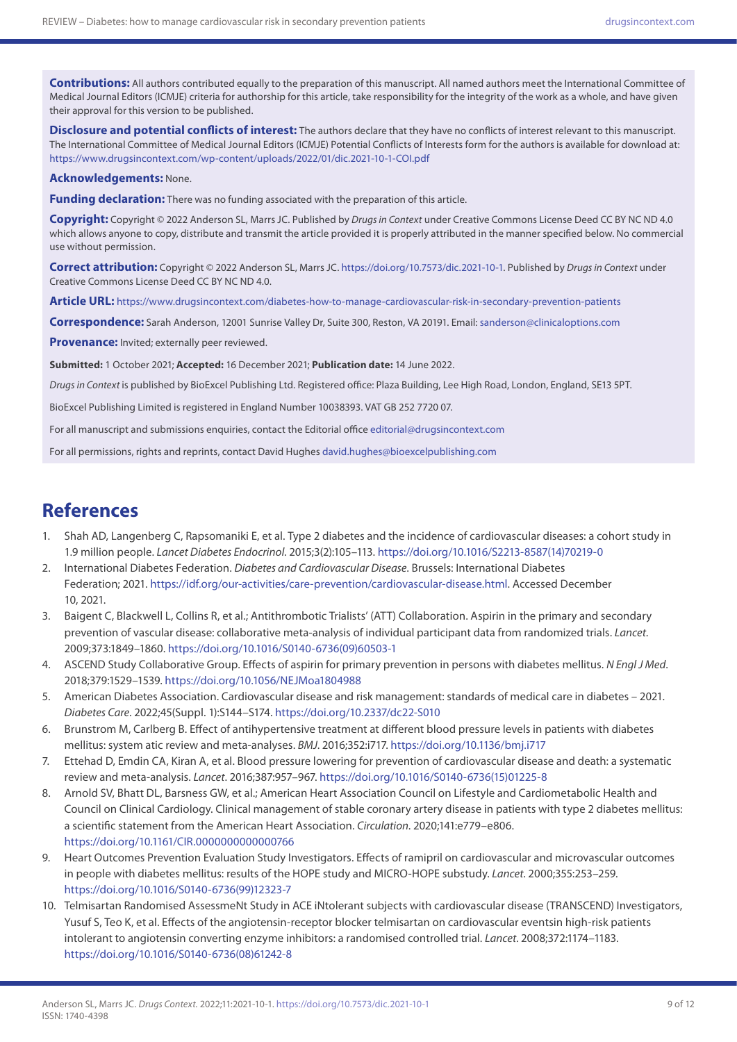**Contributions:** All authors contributed equally to the preparation of this manuscript. All named authors meet the International Committee of Medical Journal Editors (ICMJE) criteria for authorship for this article, take responsibility for the integrity of the work as a whole, and have given their approval for this version to be published.

**Disclosure and potential conflicts of interest:** The authors declare that they have no conflicts of interest relevant to this manuscript. The International Committee of Medical Journal Editors (ICMJE) Potential Conflicts of Interests form for the authors is available for download at: <https://www.drugsincontext.com/wp-content/uploads/2022/01/dic.2021-10-1-COI.pdf>

#### **Acknowledgements:** None.

**Funding declaration:** There was no funding associated with the preparation of this article.

**Copyright:** Copyright © 2022 Anderson SL, Marrs JC. Published by *Drugs in Context* under Creative Commons License Deed CC BY NC ND 4.0 which allows anyone to copy, distribute and transmit the article provided it is properly attributed in the manner specified below. No commercial use without permission.

**Correct attribution:** Copyright © 2022 Anderson SL, Marrs JC. [https://doi.org/10.7573/dic.2021-10-1.](https://doi.org/10.7573/dic.2021-10-1) Published by *Drugs in Context* under Creative Commons License Deed CC BY NC ND 4.0.

**Article URL:** <https://www.drugsincontext.com/diabetes-how-to-manage-cardiovascular-risk-in-secondary-prevention-patients>

**Correspondence:** Sarah Anderson, 12001 Sunrise Valley Dr, Suite 300, Reston, VA 20191. Email: [sanderson@clinicaloptions.com](mailto:sanderson@clinicaloptions.com)

**Provenance:** Invited; externally peer reviewed.

**Submitted:** 1 October 2021; **Accepted:** 16 December 2021; **Publication date:** 14 June 2022.

*Drugs in Context* is published by BioExcel Publishing Ltd. Registered office: Plaza Building, Lee High Road, London, England, SE13 5PT.

BioExcel Publishing Limited is registered in England Number 10038393. VAT GB 252 7720 07.

For all manuscript and submissions enquiries, contact the Editorial office [editorial@drugsincontext.com](mailto:editorial@drugsincontext.com)

For all permissions, rights and reprints, contact David Hughes [david.hughes@bioexcelpublishing.com](mailto:david.hughes@bioexcelpublishing.com)

## **References**

- 1. Shah AD, Langenberg C, Rapsomaniki E, et al. Type 2 diabetes and the incidence of cardiovascular diseases: a cohort study in 1.9 million people. *Lancet Diabetes Endocrinol*. 2015;3(2):105–113. [https://doi.org/10.1016/S2213-8587\(14\)70219-0](https://doi.org/10.1016/S2213-8587(14)70219-0)
- 2. International Diabetes Federation. *Diabetes and Cardiovascular Disease*. Brussels: International Diabetes Federation; 2021.<https://idf.org/our-activities/care-prevention/cardiovascular-disease.html>. Accessed December 10, 2021.
- 3. Baigent C, Blackwell L, Collins R, et al.; Antithrombotic Trialists' (ATT) Collaboration. Aspirin in the primary and secondary prevention of vascular disease: collaborative meta-analysis of individual participant data from randomized trials. *Lancet*. 2009;373:1849–1860. [https://doi.org/10.1016/S0140-6736\(09\)60503-1](https://doi.org/10.1016/S0140-6736(09)60503-1)
- 4. ASCEND Study Collaborative Group. Effects of aspirin for primary prevention in persons with diabetes mellitus. *N Engl J Med*. 2018;379:1529–1539.<https://doi.org/10.1056/NEJMoa1804988>
- 5. American Diabetes Association. Cardiovascular disease and risk management: standards of medical care in diabetes 2021. *Diabetes Care*. 2022;45(Suppl. 1):S144–S174.<https://doi.org/10.2337/dc22-S010>
- 6. Brunstrom M, Carlberg B. Effect of antihypertensive treatment at different blood pressure levels in patients with diabetes mellitus: system atic review and meta-analyses. *BMJ*. 2016;352:i717. <https://doi.org/10.1136/bmj.i717>
- 7. Ettehad D, Emdin CA, Kiran A, et al. Blood pressure lowering for prevention of cardiovascular disease and death: a systematic review and meta-analysis. *Lancet*. 2016;387:957–967. [https://doi.org/10.1016/S0140-6736\(15\)01225-8](https://doi.org/10.1016/S0140-6736(15)01225-8)
- 8. Arnold SV, Bhatt DL, Barsness GW, et al.; American Heart Association Council on Lifestyle and Cardiometabolic Health and Council on Clinical Cardiology. Clinical management of stable coronary artery disease in patients with type 2 diabetes mellitus: a scientific statement from the American Heart Association. *Circulation*. 2020;141:e779–e806. <https://doi.org/10.1161/CIR.0000000000000766>
- 9. Heart Outcomes Prevention Evaluation Study Investigators. Effects of ramipril on cardiovascular and microvascular outcomes in people with diabetes mellitus: results of the HOPE study and MICRO-HOPE substudy. *Lancet*. 2000;355:253–259. [https://doi.org/10.1016/S0140-6736\(99\)12323-7](https://doi.org/10.1016/S0140-6736(99)12323-7)
- 10. Telmisartan Randomised AssessmeNt Study in ACE iNtolerant subjects with cardiovascular disease (TRANSCEND) Investigators, Yusuf S, Teo K, et al. Effects of the angiotensin-receptor blocker telmisartan on cardiovascular eventsin high-risk patients intolerant to angiotensin converting enzyme inhibitors: a randomised controlled trial. *Lancet*. 2008;372:1174–1183. [https://doi.org/10.1016/S0140-6736\(08\)61242-8](https://doi.org/10.1016/S0140-6736(08)61242-8)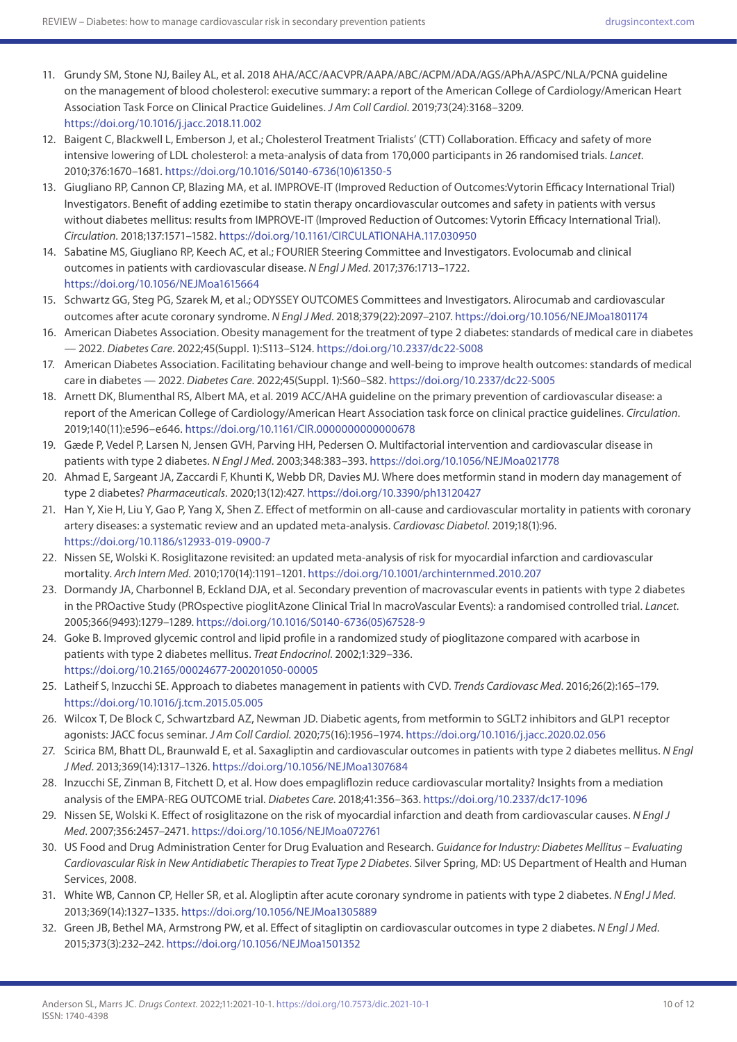- 11. Grundy SM, Stone NJ, Bailey AL, et al. 2018 AHA/ACC/AACVPR/AAPA/ABC/ACPM/ADA/AGS/APhA/ASPC/NLA/PCNA guideline on the management of blood cholesterol: executive summary: a report of the American College of Cardiology/American Heart Association Task Force on Clinical Practice Guidelines. *J Am Coll Cardiol*. 2019;73(24):3168–3209. <https://doi.org/10.1016/j.jacc.2018.11.002>
- 12. Baigent C, Blackwell L, Emberson J, et al.; Cholesterol Treatment Trialists' (CTT) Collaboration. Efficacy and safety of more intensive lowering of LDL cholesterol: a meta-analysis of data from 170,000 participants in 26 randomised trials. *Lancet*. 2010;376:1670–1681. [https://doi.org/10.1016/S0140-6736\(10\)61350-5](https://doi.org/10.1016/S0140-6736(10)61350-5)
- 13. Giugliano RP, Cannon CP, Blazing MA, et al. IMPROVE-IT (Improved Reduction of Outcomes:Vytorin Efficacy International Trial) Investigators. Benefit of adding ezetimibe to statin therapy oncardiovascular outcomes and safety in patients with versus without diabetes mellitus: results from IMPROVE-IT (Improved Reduction of Outcomes: Vytorin Efficacy International Trial). *Circulation*. 2018;137:1571–1582.<https://doi.org/10.1161/CIRCULATIONAHA.117.030950>
- 14. Sabatine MS, Giugliano RP, Keech AC, et al.; FOURIER Steering Committee and Investigators. Evolocumab and clinical outcomes in patients with cardiovascular disease. *N Engl J Med*. 2017;376:1713–1722. <https://doi.org/10.1056/NEJMoa1615664>
- 15. Schwartz GG, Steg PG, Szarek M, et al.; ODYSSEY OUTCOMES Committees and Investigators. Alirocumab and cardiovascular outcomes after acute coronary syndrome. *N Engl J Med*. 2018;379(22):2097–2107. <https://doi.org/10.1056/NEJMoa1801174>
- 16. American Diabetes Association. Obesity management for the treatment of type 2 diabetes: standards of medical care in diabetes — 2022. *Diabetes Care*. 2022;45(Suppl. 1):S113–S124. <https://doi.org/10.2337/dc22-S008>
- 17. American Diabetes Association. Facilitating behaviour change and well-being to improve health outcomes: standards of medical care in diabetes — 2022. *Diabetes Care*. 2022;45(Suppl. 1):S60–S82.<https://doi.org/10.2337/dc22-S005>
- 18. Arnett DK, Blumenthal RS, Albert MA, et al. 2019 ACC/AHA guideline on the primary prevention of cardiovascular disease: a report of the American College of Cardiology/American Heart Association task force on clinical practice guidelines. *Circulation*. 2019;140(11):e596–e646. <https://doi.org/10.1161/CIR.0000000000000678>
- 19. Gæde P, Vedel P, Larsen N, Jensen GVH, Parving HH, Pedersen O. Multifactorial intervention and cardiovascular disease in patients with type 2 diabetes. *N Engl J Med*. 2003;348:383–393. <https://doi.org/10.1056/NEJMoa021778>
- 20. Ahmad E, Sargeant JA, Zaccardi F, Khunti K, Webb DR, Davies MJ. Where does metformin stand in modern day management of type 2 diabetes? *Pharmaceuticals*. 2020;13(12):427.<https://doi.org/10.3390/ph13120427>
- 21. Han Y, Xie H, Liu Y, Gao P, Yang X, Shen Z. Effect of metformin on all-cause and cardiovascular mortality in patients with coronary artery diseases: a systematic review and an updated meta-analysis. *Cardiovasc Diabetol*. 2019;18(1):96. <https://doi.org/10.1186/s12933-019-0900-7>
- 22. Nissen SE, Wolski K. Rosiglitazone revisited: an updated meta-analysis of risk for myocardial infarction and cardiovascular mortality. *Arch Intern Med*. 2010;170(14):1191–1201. <https://doi.org/10.1001/archinternmed.2010.207>
- 23. Dormandy JA, Charbonnel B, Eckland DJA, et al. Secondary prevention of macrovascular events in patients with type 2 diabetes in the PROactive Study (PROspective pioglitAzone Clinical Trial In macroVascular Events): a randomised controlled trial. *Lancet*. 2005;366(9493):1279–1289. [https://doi.org/10.1016/S0140-6736\(05\)67528-9](https://doi.org/10.1016/S0140-6736(05)67528-9)
- 24. Goke B. Improved glycemic control and lipid profile in a randomized study of pioglitazone compared with acarbose in patients with type 2 diabetes mellitus. *Treat Endocrinol*. 2002;1:329–336. <https://doi.org/10.2165/00024677-200201050-00005>
- 25. Latheif S, Inzucchi SE. Approach to diabetes management in patients with CVD. *Trends Cardiovasc Med*. 2016;26(2):165–179. <https://doi.org/10.1016/j.tcm.2015.05.005>
- 26. Wilcox T, De Block C, Schwartzbard AZ, Newman JD. Diabetic agents, from metformin to SGLT2 inhibitors and GLP1 receptor agonists: JACC focus seminar. *J Am Coll Cardiol*. 2020;75(16):1956–1974. <https://doi.org/10.1016/j.jacc.2020.02.056>
- 27. Scirica BM, Bhatt DL, Braunwald E, et al. Saxagliptin and cardiovascular outcomes in patients with type 2 diabetes mellitus. *N Engl J Med*. 2013;369(14):1317–1326. <https://doi.org/10.1056/NEJMoa1307684>
- 28. Inzucchi SE, Zinman B, Fitchett D, et al. How does empagliflozin reduce cardiovascular mortality? Insights from a mediation analysis of the EMPA-REG OUTCOME trial. *Diabetes Care*. 2018;41:356–363.<https://doi.org/10.2337/dc17-1096>
- 29. Nissen SE, Wolski K. Effect of rosiglitazone on the risk of myocardial infarction and death from cardiovascular causes. *N Engl J Med*. 2007;356:2457–2471. <https://doi.org/10.1056/NEJMoa072761>
- 30. US Food and Drug Administration Center for Drug Evaluation and Research. *Guidance for Industry: Diabetes Mellitus Evaluating Cardiovascular Risk in New Antidiabetic Therapies to Treat Type 2 Diabetes*. Silver Spring, MD: US Department of Health and Human Services, 2008.
- 31. White WB, Cannon CP, Heller SR, et al. Alogliptin after acute coronary syndrome in patients with type 2 diabetes. *N Engl J Med*. 2013;369(14):1327–1335.<https://doi.org/10.1056/NEJMoa1305889>
- 32. Green JB, Bethel MA, Armstrong PW, et al. Effect of sitagliptin on cardiovascular outcomes in type 2 diabetes. *N Engl J Med*. 2015;373(3):232–242. <https://doi.org/10.1056/NEJMoa1501352>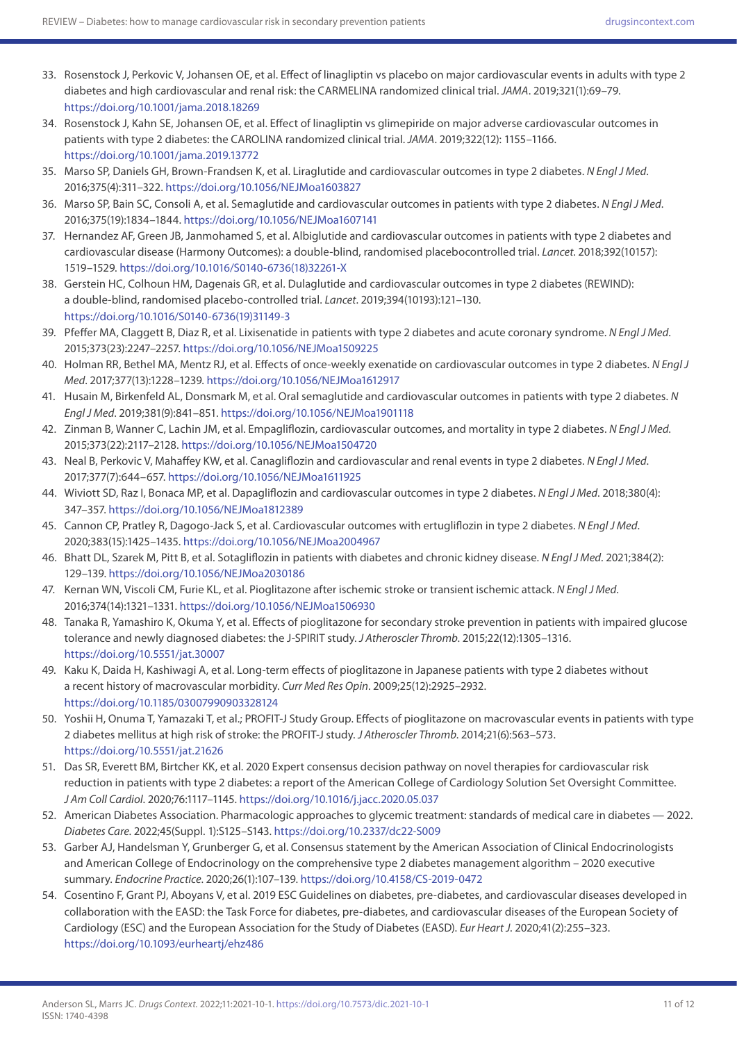- 33. Rosenstock J, Perkovic V, Johansen OE, et al. Effect of linagliptin vs placebo on major cardiovascular events in adults with type 2 diabetes and high cardiovascular and renal risk: the CARMELINA randomized clinical trial. *JAMA*. 2019;321(1):69–79. <https://doi.org/10.1001/jama.2018.18269>
- 34. Rosenstock J, Kahn SE, Johansen OE, et al. Effect of linagliptin vs glimepiride on major adverse cardiovascular outcomes in patients with type 2 diabetes: the CAROLINA randomized clinical trial. *JAMA*. 2019;322(12): 1155–1166. <https://doi.org/10.1001/jama.2019.13772>
- 35. Marso SP, Daniels GH, Brown-Frandsen K, et al. Liraglutide and cardiovascular outcomes in type 2 diabetes. *N Engl J Med*. 2016;375(4):311–322. <https://doi.org/10.1056/NEJMoa1603827>
- 36. Marso SP, Bain SC, Consoli A, et al. Semaglutide and cardiovascular outcomes in patients with type 2 diabetes. *N Engl J Med*. 2016;375(19):1834–1844. <https://doi.org/10.1056/NEJMoa1607141>
- 37. Hernandez AF, Green JB, Janmohamed S, et al. Albiglutide and cardiovascular outcomes in patients with type 2 diabetes and cardiovascular disease (Harmony Outcomes): a double-blind, randomised placebocontrolled trial. *Lancet*. 2018;392(10157): 1519–1529. [https://doi.org/10.1016/S0140-6736\(18\)32261-X](https://doi.org/10.1016/S0140-6736(18)32261-X)
- 38. Gerstein HC, Colhoun HM, Dagenais GR, et al. Dulaglutide and cardiovascular outcomes in type 2 diabetes (REWIND): a double-blind, randomised placebo-controlled trial. *Lancet*. 2019;394(10193):121–130. [https://doi.org/10.1016/S0140-6736\(19\)31149-3](https://doi.org/10.1016/S0140-6736(19)31149-3)
- 39. Pfeffer MA, Claggett B, Diaz R, et al. Lixisenatide in patients with type 2 diabetes and acute coronary syndrome. *N Engl J Med*. 2015;373(23):2247–2257. <https://doi.org/10.1056/NEJMoa1509225>
- 40. Holman RR, Bethel MA, Mentz RJ, et al. Effects of once-weekly exenatide on cardiovascular outcomes in type 2 diabetes. *N Engl J Med*. 2017;377(13):1228–1239.<https://doi.org/10.1056/NEJMoa1612917>
- 41. Husain M, Birkenfeld AL, Donsmark M, et al. Oral semaglutide and cardiovascular outcomes in patients with type 2 diabetes. *N Engl J Med*. 2019;381(9):841–851. <https://doi.org/10.1056/NEJMoa1901118>
- 42. Zinman B, Wanner C, Lachin JM, et al. Empagliflozin, cardiovascular outcomes, and mortality in type 2 diabetes. *N Engl J Med*. 2015;373(22):2117–2128. <https://doi.org/10.1056/NEJMoa1504720>
- 43. Neal B, Perkovic V, Mahaffey KW, et al. Canagliflozin and cardiovascular and renal events in type 2 diabetes. *N Engl J Med*. 2017;377(7):644–657. <https://doi.org/10.1056/NEJMoa1611925>
- 44. Wiviott SD, Raz I, Bonaca MP, et al. Dapagliflozin and cardiovascular outcomes in type 2 diabetes. *N Engl J Med*. 2018;380(4): 347–357. <https://doi.org/10.1056/NEJMoa1812389>
- 45. Cannon CP, Pratley R, Dagogo-Jack S, et al. Cardiovascular outcomes with ertugliflozin in type 2 diabetes. *N Engl J Med*. 2020;383(15):1425–1435.<https://doi.org/10.1056/NEJMoa2004967>
- 46. Bhatt DL, Szarek M, Pitt B, et al. Sotagliflozin in patients with diabetes and chronic kidney disease. *N Engl J Med*. 2021;384(2): 129–139. <https://doi.org/10.1056/NEJMoa2030186>
- 47. Kernan WN, Viscoli CM, Furie KL, et al. Pioglitazone after ischemic stroke or transient ischemic attack. *N Engl J Med*. 2016;374(14):1321–1331.<https://doi.org/10.1056/NEJMoa1506930>
- 48. Tanaka R, Yamashiro K, Okuma Y, et al. Effects of pioglitazone for secondary stroke prevention in patients with impaired glucose tolerance and newly diagnosed diabetes: the J-SPIRIT study. *J Atheroscler Thromb*. 2015;22(12):1305–1316. <https://doi.org/10.5551/jat.30007>
- 49. Kaku K, Daida H, Kashiwagi A, et al. Long-term effects of pioglitazone in Japanese patients with type 2 diabetes without a recent history of macrovascular morbidity. *Curr Med Res Opin*. 2009;25(12):2925–2932. <https://doi.org/10.1185/03007990903328124>
- 50. Yoshii H, Onuma T, Yamazaki T, et al.; PROFIT-J Study Group. Effects of pioglitazone on macrovascular events in patients with type 2 diabetes mellitus at high risk of stroke: the PROFIT-J study. *J Atheroscler Thromb*. 2014;21(6):563–573. <https://doi.org/10.5551/jat.21626>
- 51. Das SR, Everett BM, Birtcher KK, et al. 2020 Expert consensus decision pathway on novel therapies for cardiovascular risk reduction in patients with type 2 diabetes: a report of the American College of Cardiology Solution Set Oversight Committee. *J Am Coll Cardiol*. 2020;76:1117–1145.<https://doi.org/10.1016/j.jacc.2020.05.037>
- 52. American Diabetes Association. Pharmacologic approaches to glycemic treatment: standards of medical care in diabetes 2022. *Diabetes Care*. 2022;45(Suppl. 1):S125–S143.<https://doi.org/10.2337/dc22-S009>
- 53. Garber AJ, Handelsman Y, Grunberger G, et al. Consensus statement by the American Association of Clinical Endocrinologists and American College of Endocrinology on the comprehensive type 2 diabetes management algorithm – 2020 executive summary. *Endocrine Practice*. 2020;26(1):107–139. <https://doi.org/10.4158/CS-2019-0472>
- 54. Cosentino F, Grant PJ, Aboyans V, et al. 2019 ESC Guidelines on diabetes, pre-diabetes, and cardiovascular diseases developed in collaboration with the EASD: the Task Force for diabetes, pre-diabetes, and cardiovascular diseases of the European Society of Cardiology (ESC) and the European Association for the Study of Diabetes (EASD). *Eur Heart J*. 2020;41(2):255–323. <https://doi.org/10.1093/eurheartj/ehz486>